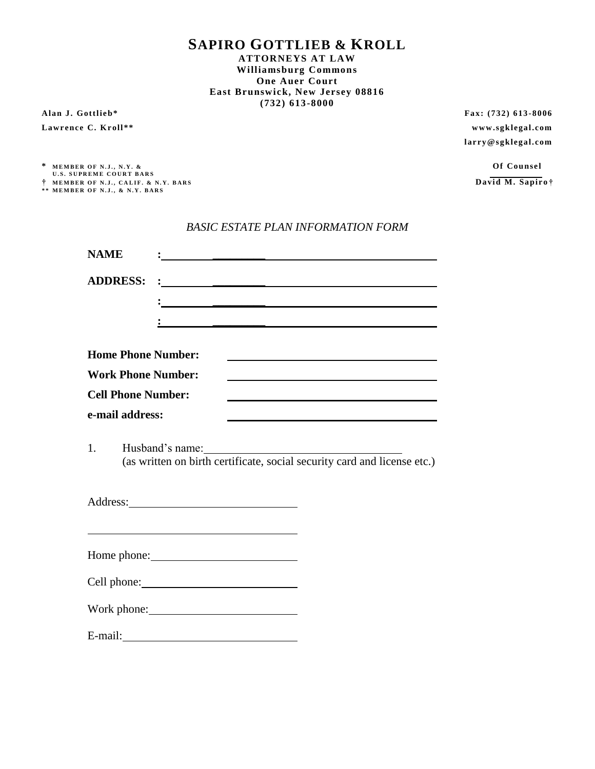**SAPIRO GOTTLIEB & KROLL**

**ATTORNEYS AT LAW Williamsburg Commons One Auer Court East Brunswick, New Jersey 08816 (732) 613-8000**

 **Alan J. Gottlie b\* Fax: (732) 613 -8006 Lawrence C. Kr oll\*\* www.sgklegal.com larry@sgklegal.com**

 **\* M E M B E R O F N . J . , N . Y . & Of Counsel U . S . S U P R E M E C O U R T B A R S † M E M B E R O F N . J . , C A L I F . & N . Y . B A R S Davi d M. Sapir o † \* \* M E M B E R O F N . J . , & N . Y . B A R S**

## *BASIC ESTATE PLAN INFORMATION FORM*

| <b>NAME</b>               |  |                                                                                                                      |                                                                                                |
|---------------------------|--|----------------------------------------------------------------------------------------------------------------------|------------------------------------------------------------------------------------------------|
| <b>ADDRESS:</b>           |  |                                                                                                                      |                                                                                                |
|                           |  |                                                                                                                      |                                                                                                |
|                           |  |                                                                                                                      |                                                                                                |
|                           |  |                                                                                                                      |                                                                                                |
| <b>Home Phone Number:</b> |  |                                                                                                                      |                                                                                                |
| <b>Work Phone Number:</b> |  |                                                                                                                      |                                                                                                |
| <b>Cell Phone Number:</b> |  |                                                                                                                      |                                                                                                |
| e-mail address:           |  |                                                                                                                      |                                                                                                |
|                           |  |                                                                                                                      | 1. Husband's name:<br>(as written on birth certificate, social security card and license etc.) |
|                           |  | <u> 1989 - Johann Stein, marwolaethau a bhann an t-Amhainn an t-Amhainn an t-Amhainn an t-Amhainn an t-Amhainn a</u> |                                                                                                |
|                           |  | Home phone: <u>and the same phone</u>                                                                                |                                                                                                |
|                           |  |                                                                                                                      |                                                                                                |
|                           |  | Work phone:                                                                                                          |                                                                                                |
|                           |  |                                                                                                                      |                                                                                                |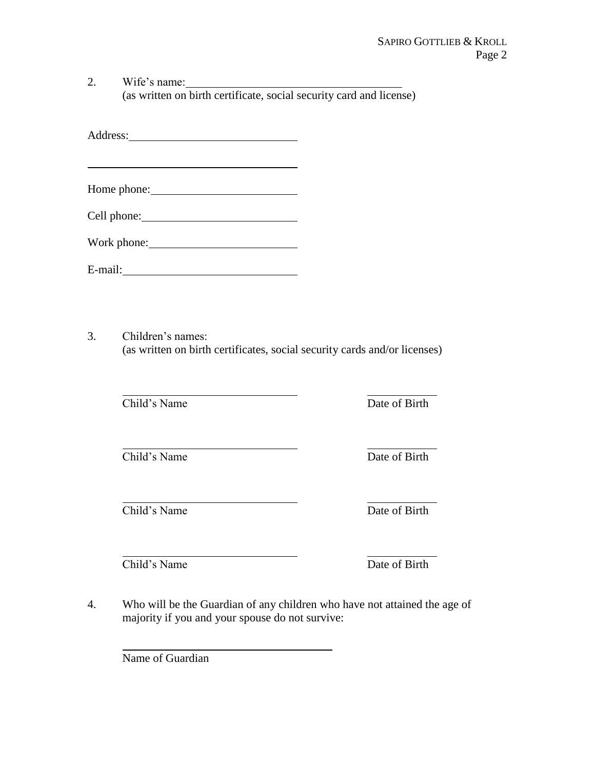2. Wife's name: (as written on birth certificate, social security card and license)

Address:

Home phone: 1990 Monthly 2000 Monthly 2000 Monthly 2000 Monthly 2000 Monthly 2000 Monthly 2000 Monthly 2000 Monthly 2000 Monthly 2000 Monthly 2000 Monthly 2000 Monthly 2000 Monthly 2000 Monthly 2000 Monthly 2000 Monthly 20

Cell phone:

Work phone:

E-mail:

3. Children's names: (as written on birth certificates, social security cards and/or licenses)

Child's Name Date of Birth

Child's Name Date of Birth

Child's Name Date of Birth

Child's Name Date of Birth

4. Who will be the Guardian of any children who have not attained the age of majority if you and your spouse do not survive:

Name of Guardian